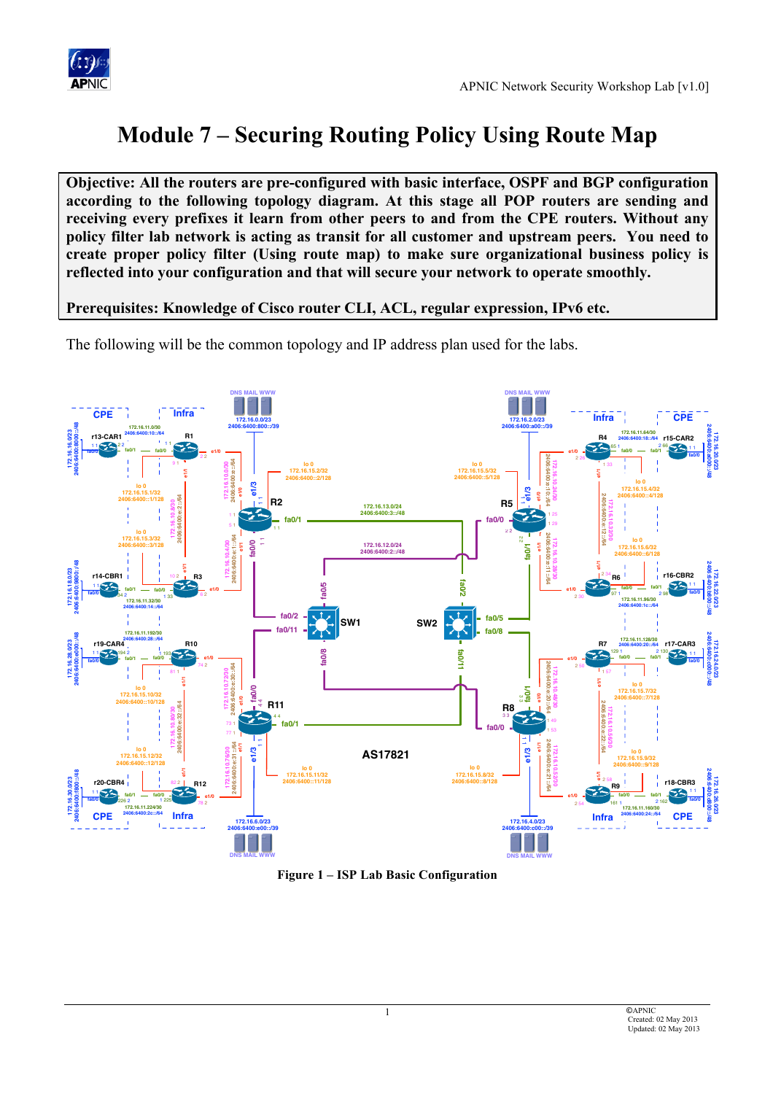

# **Module 7 – Securing Routing Policy Using Route Map**

**Objective: All the routers are pre-configured with basic interface, OSPF and BGP configuration according to the following topology diagram. At this stage all POP routers are sending and receiving every prefixes it learn from other peers to and from the CPE routers. Without any policy filter lab network is acting as transit for all customer and upstream peers. You need to create proper policy filter (Using route map) to make sure organizational business policy is reflected into your configuration and that will secure your network to operate smoothly.** 

### **Prerequisites: Knowledge of Cisco router CLI, ACL, regular expression, IPv6 etc.**

The following will be the common topology and IP address plan used for the labs.



**Figure 1 – ISP Lab Basic Configuration**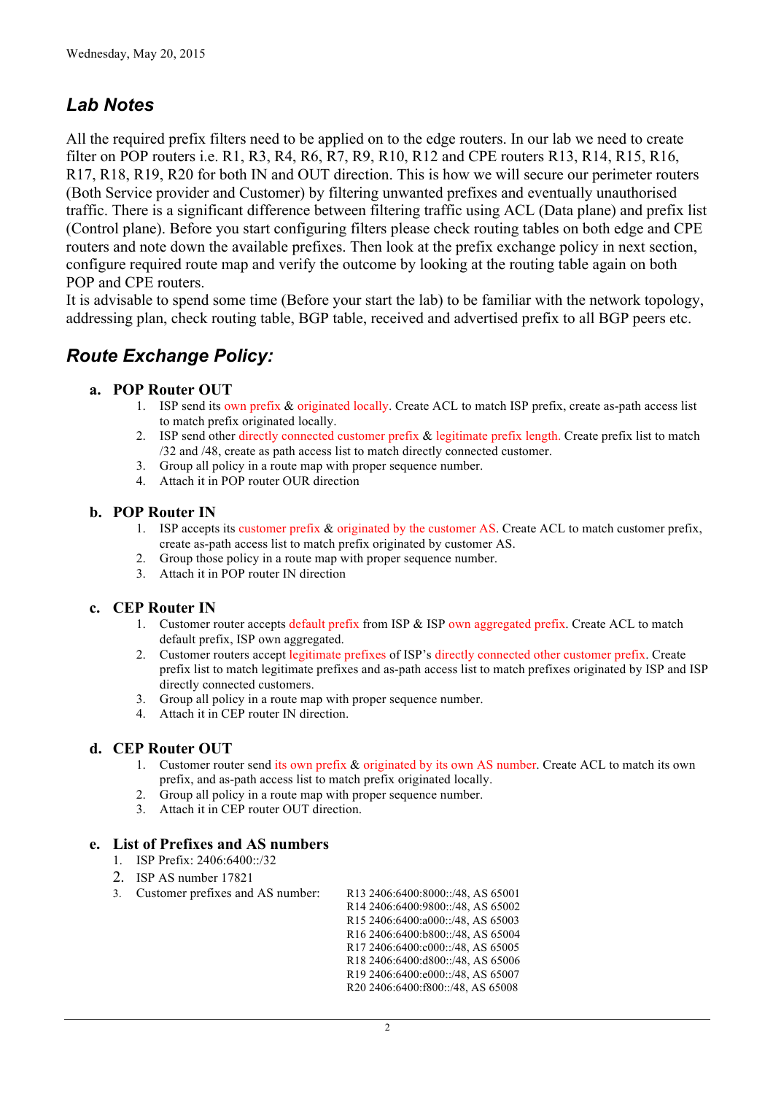## *Lab Notes*

All the required prefix filters need to be applied on to the edge routers. In our lab we need to create filter on POP routers i.e. R1, R3, R4, R6, R7, R9, R10, R12 and CPE routers R13, R14, R15, R16, R17, R18, R19, R20 for both IN and OUT direction. This is how we will secure our perimeter routers (Both Service provider and Customer) by filtering unwanted prefixes and eventually unauthorised traffic. There is a significant difference between filtering traffic using ACL (Data plane) and prefix list (Control plane). Before you start configuring filters please check routing tables on both edge and CPE routers and note down the available prefixes. Then look at the prefix exchange policy in next section, configure required route map and verify the outcome by looking at the routing table again on both POP and CPE routers.

It is advisable to spend some time (Before your start the lab) to be familiar with the network topology, addressing plan, check routing table, BGP table, received and advertised prefix to all BGP peers etc.

## *Route Exchange Policy:*

#### **a. POP Router OUT**

- 1. ISP send its own prefix & originated locally. Create ACL to match ISP prefix, create as-path access list to match prefix originated locally.
- 2. ISP send other directly connected customer prefix & legitimate prefix length. Create prefix list to match /32 and /48, create as path access list to match directly connected customer.
- 3. Group all policy in a route map with proper sequence number.
- 4. Attach it in POP router OUR direction

#### **b. POP Router IN**

- 1. ISP accepts its customer prefix & originated by the customer AS. Create ACL to match customer prefix, create as-path access list to match prefix originated by customer AS.
- 2. Group those policy in a route map with proper sequence number.
- 3. Attach it in POP router IN direction

#### **c. CEP Router IN**

- 1. Customer router accepts default prefix from ISP & ISP own aggregated prefix. Create ACL to match default prefix, ISP own aggregated.
- 2. Customer routers accept legitimate prefixes of ISP's directly connected other customer prefix. Create prefix list to match legitimate prefixes and as-path access list to match prefixes originated by ISP and ISP directly connected customers.
- 3. Group all policy in a route map with proper sequence number.
- 4. Attach it in CEP router IN direction.

#### **d. CEP Router OUT**

- 1. Customer router send its own prefix & originated by its own AS number. Create ACL to match its own prefix, and as-path access list to match prefix originated locally.
- 2. Group all policy in a route map with proper sequence number.
- 3. Attach it in CEP router OUT direction.

#### **e. List of Prefixes and AS numbers**

- 1. ISP Prefix: 2406:6400::/32
- 2. ISP AS number 17821
- 3. Customer prefixes and AS number: R13 2406:6400:8000::/48, AS 65001

R14 2406:6400:9800::/48, AS 65002 R15 2406:6400:a000::/48, AS 65003

- R16 2406:6400:b800::/48, AS 65004
- R17 2406:6400:c000::/48, AS 65005
- R18 2406:6400:d800::/48, AS 65006
- R19 2406:6400:e000::/48, AS 65007
- R20 2406:6400:f800::/48, AS 65008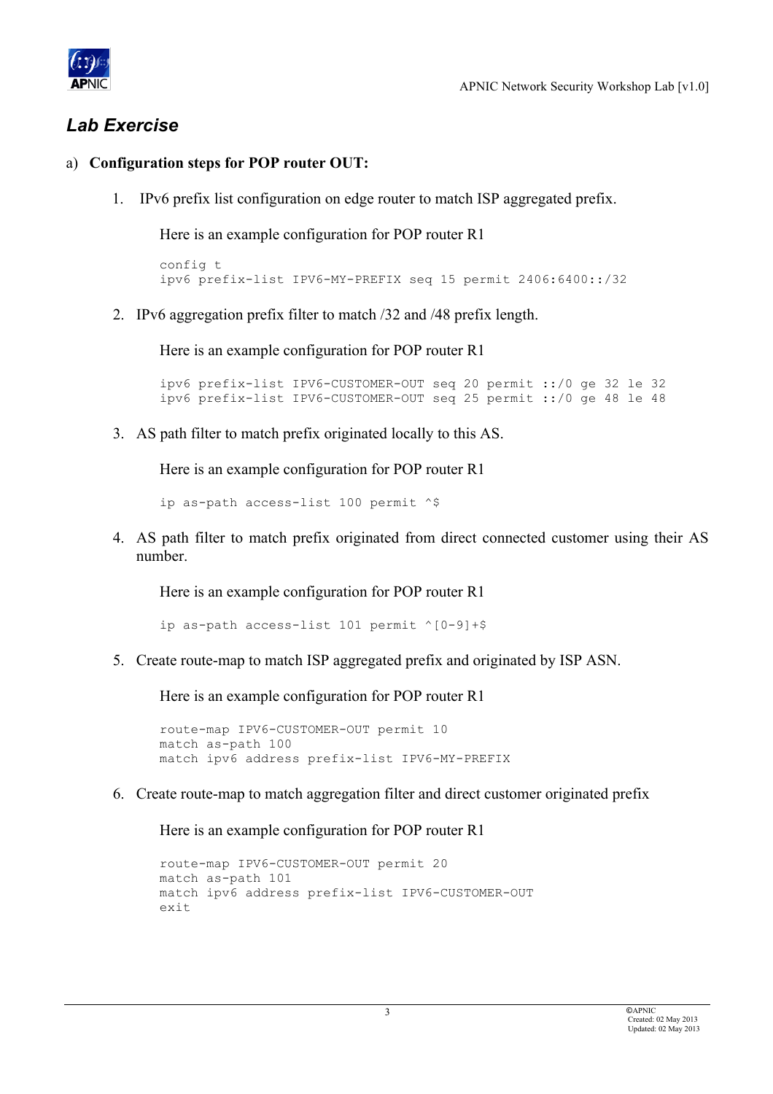

## *Lab Exercise*

### a) **Configuration steps for POP router OUT:**

1. IPv6 prefix list configuration on edge router to match ISP aggregated prefix.

Here is an example configuration for POP router R1

```
config t
ipv6 prefix-list IPV6-MY-PREFIX seq 15 permit 2406:6400::/32
```
2. IPv6 aggregation prefix filter to match /32 and /48 prefix length.

Here is an example configuration for POP router R1

```
ipv6 prefix-list IPV6-CUSTOMER-OUT seq 20 permit ::/0 ge 32 le 32
ipv6 prefix-list IPV6-CUSTOMER-OUT seq 25 permit ::/0 ge 48 le 48
```
3. AS path filter to match prefix originated locally to this AS.

Here is an example configuration for POP router R1

ip as-path access-list 100 permit ^\$

4. AS path filter to match prefix originated from direct connected customer using their AS number.

Here is an example configuration for POP router R1

ip as-path access-list 101 permit ^[0-9]+\$

5. Create route-map to match ISP aggregated prefix and originated by ISP ASN.

Here is an example configuration for POP router R1

```
route-map IPV6-CUSTOMER-OUT permit 10
match as-path 100
match ipv6 address prefix-list IPV6-MY-PREFIX
```
6. Create route-map to match aggregation filter and direct customer originated prefix

```
route-map IPV6-CUSTOMER-OUT permit 20
match as-path 101
match ipv6 address prefix-list IPV6-CUSTOMER-OUT
exit
```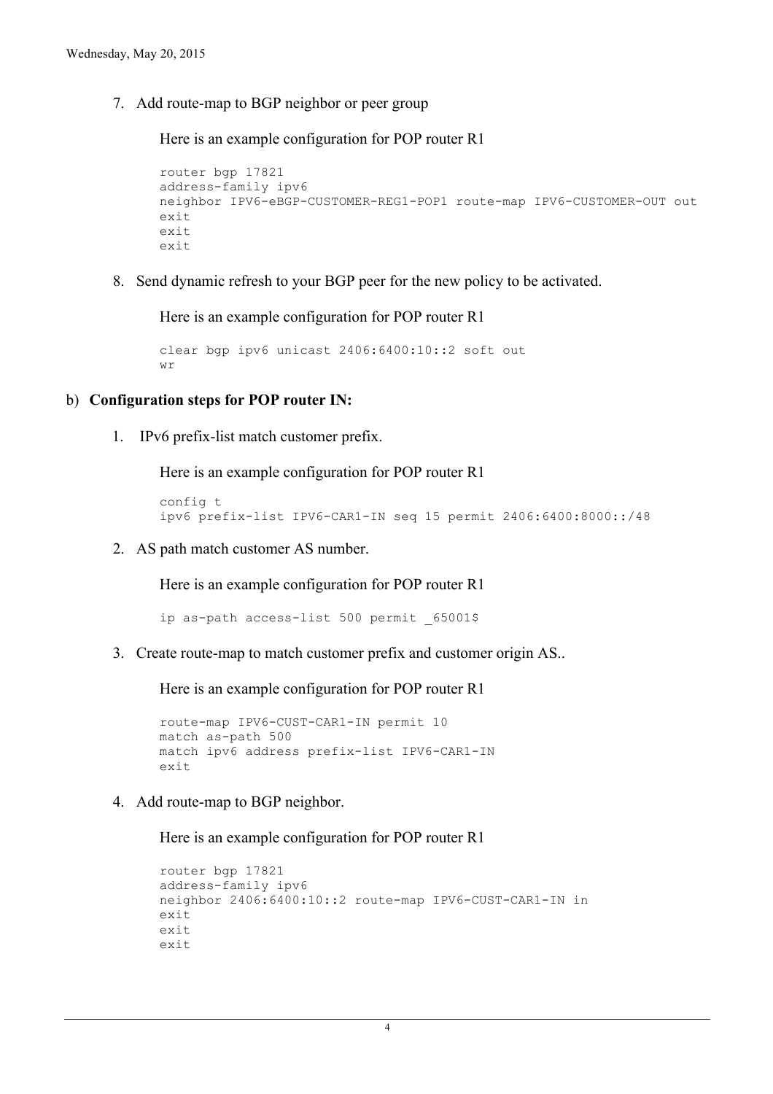7. Add route-map to BGP neighbor or peer group

Here is an example configuration for POP router R1

```
router bgp 17821
address-family ipv6
neighbor IPV6-eBGP-CUSTOMER-REG1-POP1 route-map IPV6-CUSTOMER-OUT out
e^{x+i}exit
exit
```
8. Send dynamic refresh to your BGP peer for the new policy to be activated.

Here is an example configuration for POP router R1

```
clear bgp ipv6 unicast 2406:6400:10::2 soft out
wr
```
#### b) **Configuration steps for POP router IN:**

1. IPv6 prefix-list match customer prefix.

Here is an example configuration for POP router R1

```
config t
ipv6 prefix-list IPV6-CAR1-IN seq 15 permit 2406:6400:8000::/48
```
2. AS path match customer AS number.

Here is an example configuration for POP router R1

ip as-path access-list 500 permit 65001\$

3. Create route-map to match customer prefix and customer origin AS..

Here is an example configuration for POP router R1

```
route-map IPV6-CUST-CAR1-IN permit 10
match as-path 500
match ipv6 address prefix-list IPV6-CAR1-IN
exit
```
4. Add route-map to BGP neighbor.

```
router bgp 17821
address-family ipv6
neighbor 2406:6400:10::2 route-map IPV6-CUST-CAR1-IN in
exit
exit
exit
```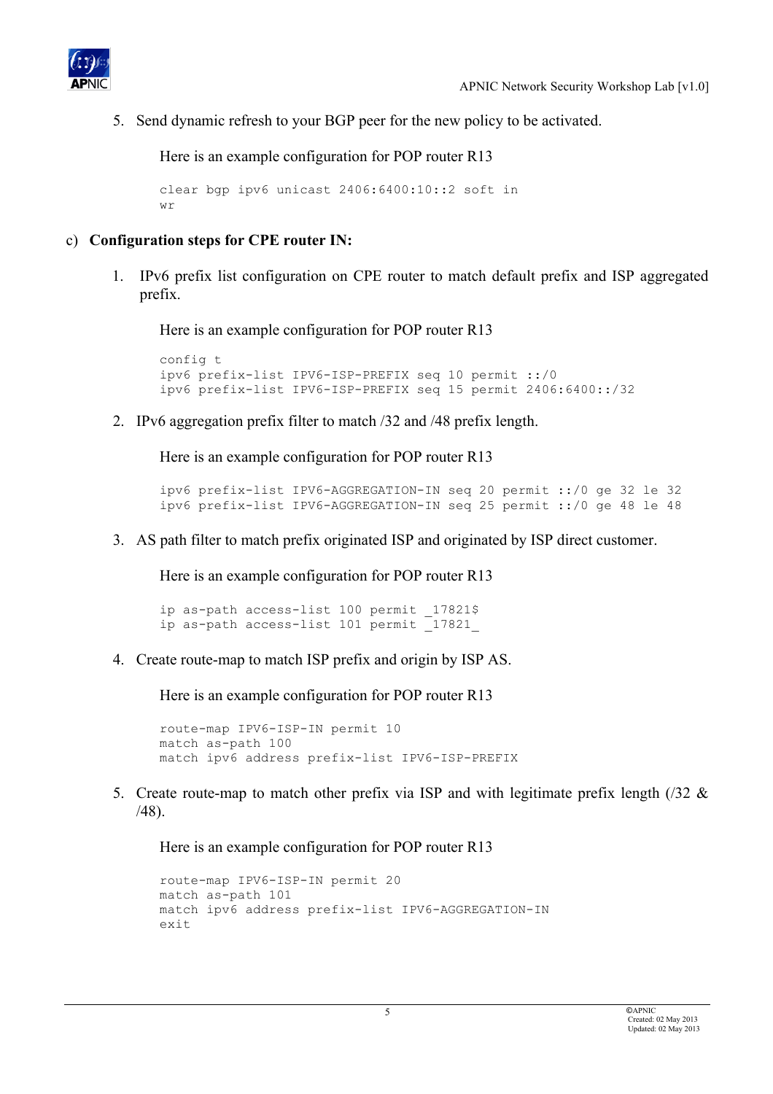

5. Send dynamic refresh to your BGP peer for the new policy to be activated.

Here is an example configuration for POP router R13

```
clear bgp ipv6 unicast 2406:6400:10::2 soft in
W \sim
```
### c) **Configuration steps for CPE router IN:**

1. IPv6 prefix list configuration on CPE router to match default prefix and ISP aggregated prefix.

Here is an example configuration for POP router R13

```
config t
ipv6 prefix-list IPV6-ISP-PREFIX seq 10 permit ::/0
ipv6 prefix-list IPV6-ISP-PREFIX seq 15 permit 2406:6400::/32
```
2. IPv6 aggregation prefix filter to match /32 and /48 prefix length.

Here is an example configuration for POP router R13

```
ipv6 prefix-list IPV6-AGGREGATION-IN seq 20 permit ::/0 ge 32 le 32
ipv6 prefix-list IPV6-AGGREGATION-IN seq 25 permit ::/0 ge 48 le 48
```
3. AS path filter to match prefix originated ISP and originated by ISP direct customer.

Here is an example configuration for POP router R13

ip as-path access-list 100 permit 17821\$ ip as-path access-list 101 permit 17821

4. Create route-map to match ISP prefix and origin by ISP AS.

Here is an example configuration for POP router R13

```
route-map IPV6-ISP-IN permit 10
match as-path 100
match ipv6 address prefix-list IPV6-ISP-PREFIX
```
5. Create route-map to match other prefix via ISP and with legitimate prefix length ( $\frac{32 \& }$ /48).

```
route-map IPV6-ISP-IN permit 20
match as-path 101
match ipv6 address prefix-list IPV6-AGGREGATION-IN
exit
```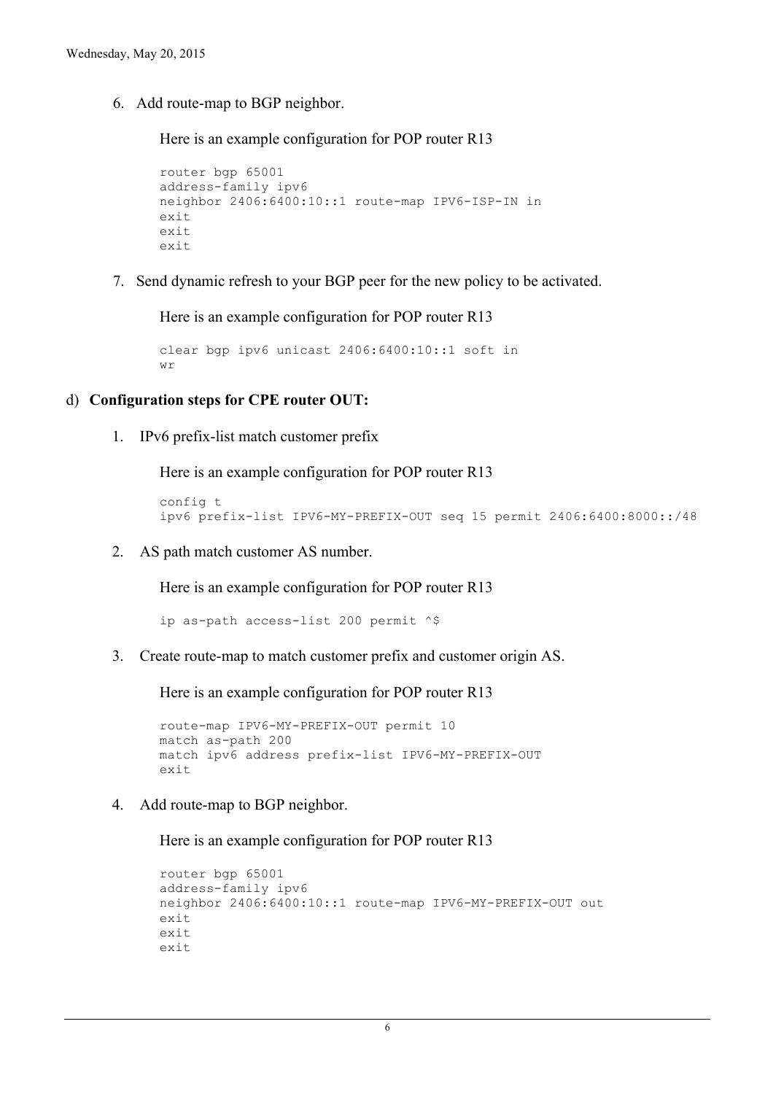6. Add route-map to BGP neighbor.

Here is an example configuration for POP router R13

```
router bgp 65001
address-family ipv6
neighbor 2406:6400:10::1 route-map IPV6-ISP-IN in
e^{x+i}exit
exit
```
7. Send dynamic refresh to your BGP peer for the new policy to be activated.

Here is an example configuration for POP router R13

```
clear bgp ipv6 unicast 2406:6400:10::1 soft in
wr
```
#### d) **Configuration steps for CPE router OUT:**

1. IPv6 prefix-list match customer prefix

Here is an example configuration for POP router R13

```
config t
ipv6 prefix-list IPV6-MY-PREFIX-OUT seq 15 permit 2406:6400:8000::/48
```
2. AS path match customer AS number.

Here is an example configuration for POP router R13

ip as-path access-list 200 permit ^\$

3. Create route-map to match customer prefix and customer origin AS.

Here is an example configuration for POP router R13

```
route-map IPV6-MY-PREFIX-OUT permit 10
match as-path 200
match ipv6 address prefix-list IPV6-MY-PREFIX-OUT
exit
```
4. Add route-map to BGP neighbor.

```
router bgp 65001
address-family ipv6
neighbor 2406:6400:10::1 route-map IPV6-MY-PREFIX-OUT out
exit
exit
exit
```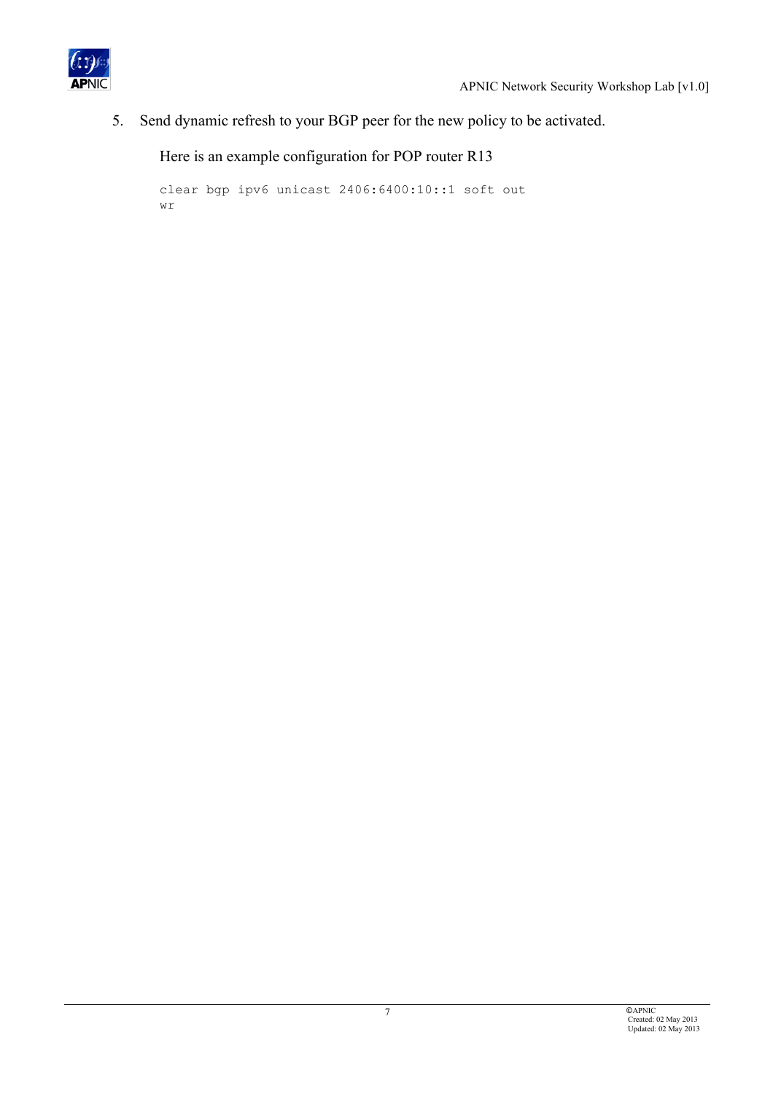

5. Send dynamic refresh to your BGP peer for the new policy to be activated.

```
clear bgp ipv6 unicast 2406:6400:10::1 soft out
wr
```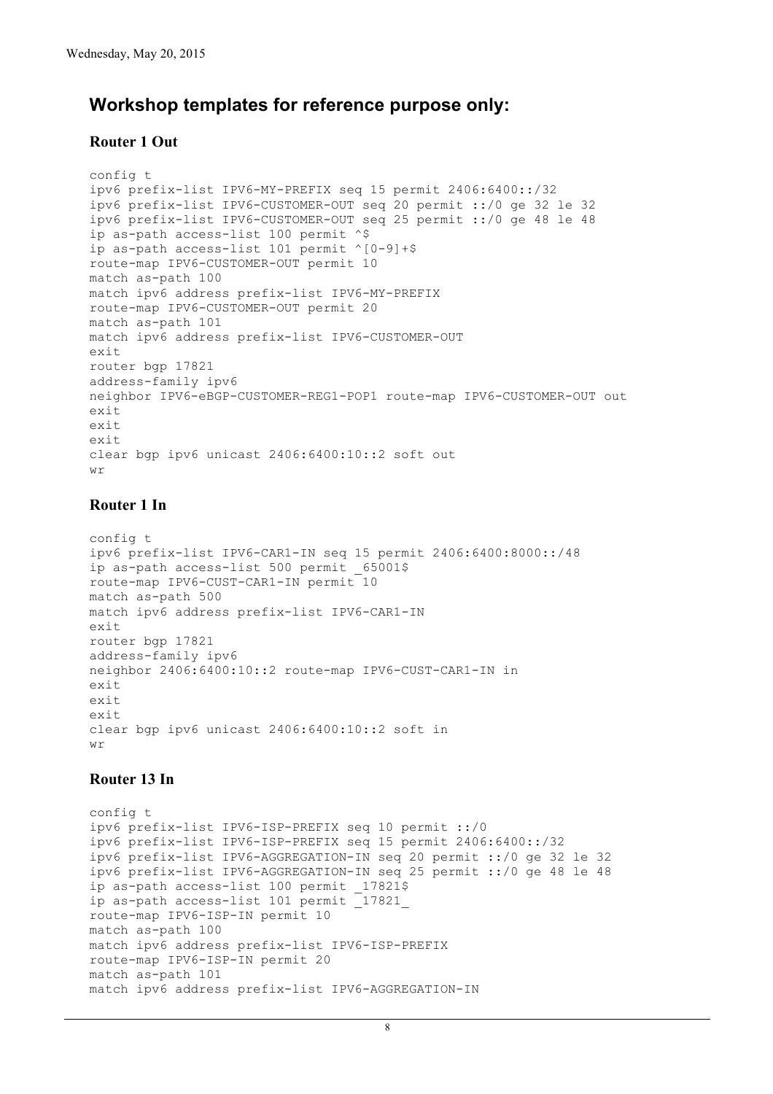### **Workshop templates for reference purpose only:**

#### **Router 1 Out**

```
config t
ipv6 prefix-list IPV6-MY-PREFIX seq 15 permit 2406:6400::/32
ipv6 prefix-list IPV6-CUSTOMER-OUT seq 20 permit ::/0 ge 32 le 32
ipv6 prefix-list IPV6-CUSTOMER-OUT seq 25 permit ::/0 ge 48 le 48
ip as-path access-list 100 permit ^$
ip as-path access-list 101 permit ^[0-9]+$
route-map IPV6-CUSTOMER-OUT permit 10
match as-path 100
match ipv6 address prefix-list IPV6-MY-PREFIX
route-map IPV6-CUSTOMER-OUT permit 20
match as-path 101
match ipv6 address prefix-list IPV6-CUSTOMER-OUT
exit
router bgp 17821
address-family ipv6
neighbor IPV6-eBGP-CUSTOMER-REG1-POP1 route-map IPV6-CUSTOMER-OUT out
exit
exit
exit
clear bgp ipv6 unicast 2406:6400:10::2 soft out
wr
```
#### **Router 1 In**

```
config t
ipv6 prefix-list IPV6-CAR1-IN seq 15 permit 2406:6400:8000::/48
ip as-path access-list 500 permit 65001$
route-map IPV6-CUST-CAR1-IN permit 10
match as-path 500
match ipv6 address prefix-list IPV6-CAR1-IN
exit
router bgp 17821
address-family ipv6
neighbor 2406:6400:10::2 route-map IPV6-CUST-CAR1-IN in
exit
exit
exit
clear bgp ipv6 unicast 2406:6400:10::2 soft in
wr
```
### **Router 13 In**

```
config t
ipv6 prefix-list IPV6-ISP-PREFIX seq 10 permit ::/0
ipv6 prefix-list IPV6-ISP-PREFIX seq 15 permit 2406:6400::/32
ipv6 prefix-list IPV6-AGGREGATION-IN seq 20 permit ::/0 ge 32 le 32
ipv6 prefix-list IPV6-AGGREGATION-IN seq 25 permit ::/0 ge 48 le 48
ip as-path access-list 100 permit 17821$
ip as-path access-list 101 permit _17821_
route-map IPV6-ISP-IN permit 10
match as-path 100
match ipv6 address prefix-list IPV6-ISP-PREFIX
route-map IPV6-ISP-IN permit 20
match as-path 101
match ipv6 address prefix-list IPV6-AGGREGATION-IN
```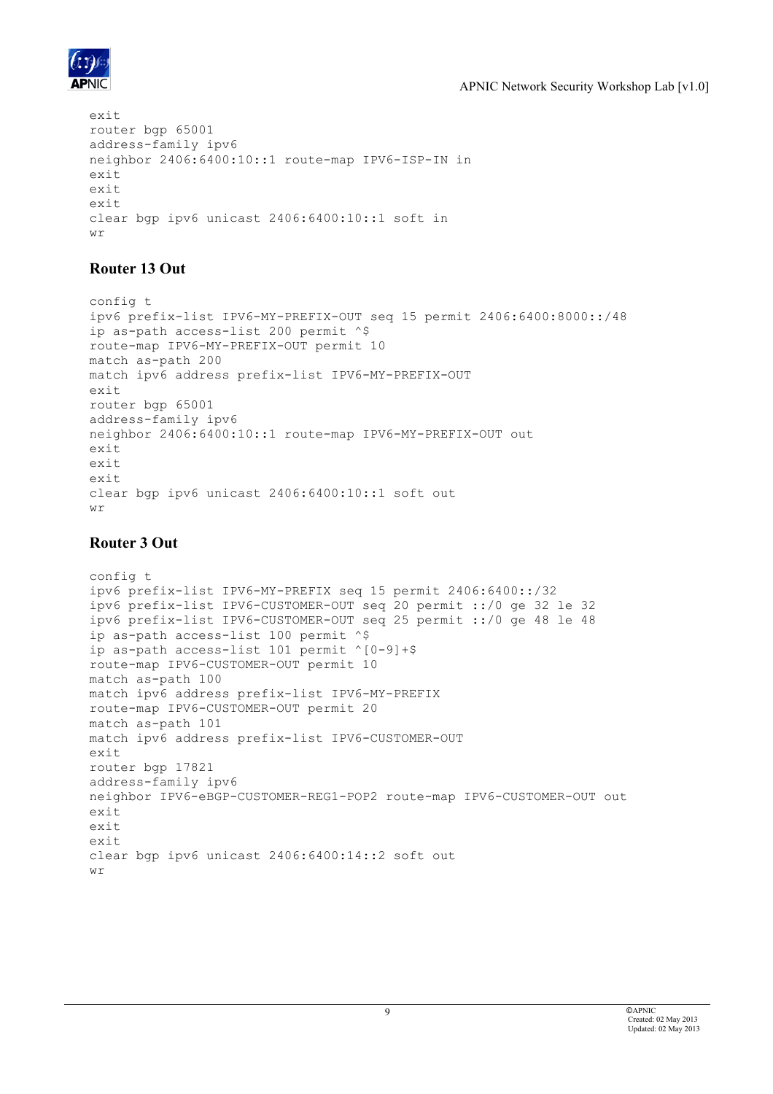

```
exit
router bgp 65001
address-family ipv6
neighbor 2406:6400:10::1 route-map IPV6-ISP-IN in
exit
exit
exit
clear bgp ipv6 unicast 2406:6400:10::1 soft in
wr
```
### **Router 13 Out**

```
config t
ipv6 prefix-list IPV6-MY-PREFIX-OUT seq 15 permit 2406:6400:8000::/48
ip as-path access-list 200 permit ^$
route-map IPV6-MY-PREFIX-OUT permit 10
match as-path 200
match ipv6 address prefix-list IPV6-MY-PREFIX-OUT
exit
router bgp 65001
address-family ipv6
neighbor 2406:6400:10::1 route-map IPV6-MY-PREFIX-OUT out
exit
exit
exit
clear bgp ipv6 unicast 2406:6400:10::1 soft out
wr
```
### **Router 3 Out**

```
config t
ipv6 prefix-list IPV6-MY-PREFIX seq 15 permit 2406:6400::/32
ipv6 prefix-list IPV6-CUSTOMER-OUT seq 20 permit ::/0 ge 32 le 32
ipv6 prefix-list IPV6-CUSTOMER-OUT seq 25 permit ::/0 ge 48 le 48
ip as-path access-list 100 permit ^$
ip as-path access-list 101 permit ^[0-9]+$
route-map IPV6-CUSTOMER-OUT permit 10
match as-path 100
match ipv6 address prefix-list IPV6-MY-PREFIX
route-map IPV6-CUSTOMER-OUT permit 20
match as-path 101
match ipv6 address prefix-list IPV6-CUSTOMER-OUT
exit
router bgp 17821
address-family ipv6
neighbor IPV6-eBGP-CUSTOMER-REG1-POP2 route-map IPV6-CUSTOMER-OUT out
exit
exit
exit
clear bgp ipv6 unicast 2406:6400:14::2 soft out
wr
```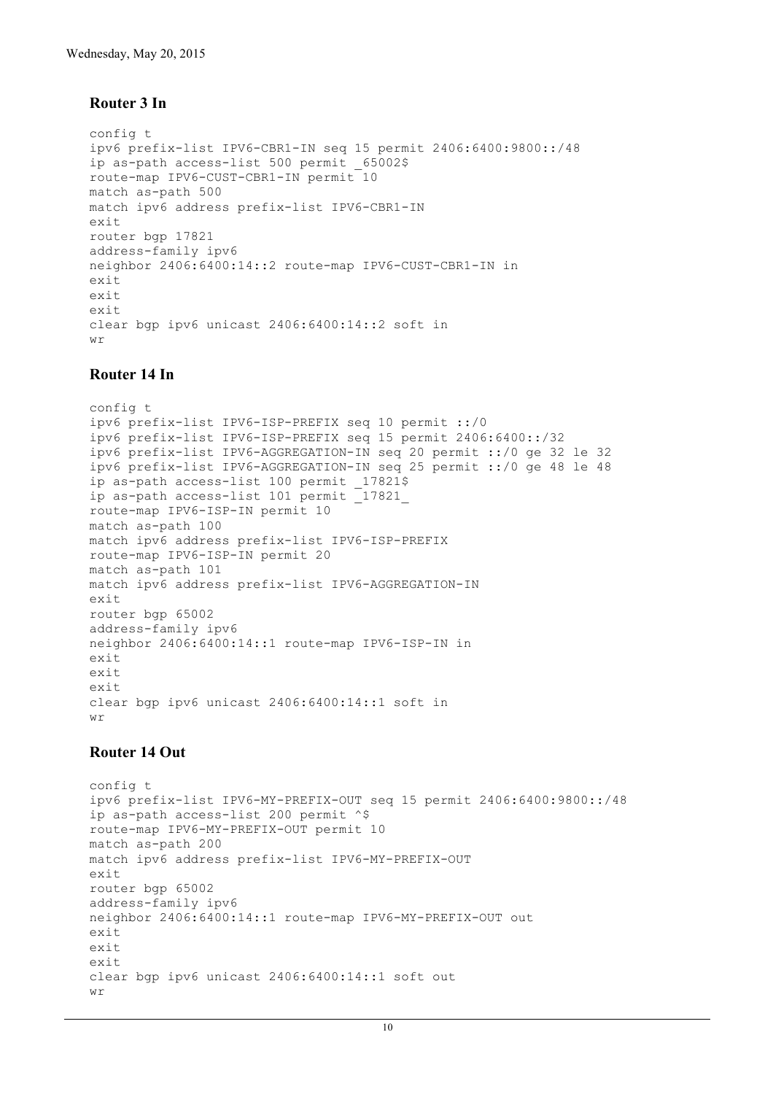#### **Router 3 In**

```
config t
ipv6 prefix-list IPV6-CBR1-IN seq 15 permit 2406:6400:9800::/48
ip as-path access-list 500 permit _65002$
route-map IPV6-CUST-CBR1-IN permit 10
match as-path 500
match ipv6 address prefix-list IPV6-CBR1-IN
exit
router bgp 17821
address-family ipv6
neighbor 2406:6400:14::2 route-map IPV6-CUST-CBR1-IN in
exit
exit
exit
clear bgp ipv6 unicast 2406:6400:14::2 soft in
M \gamma
```
#### **Router 14 In**

```
config t
ipv6 prefix-list IPV6-ISP-PREFIX seq 10 permit ::/0
ipv6 prefix-list IPV6-ISP-PREFIX seq 15 permit 2406:6400::/32
ipv6 prefix-list IPV6-AGGREGATION-IN seq 20 permit ::/0 ge 32 le 32
ipv6 prefix-list IPV6-AGGREGATION-IN seq 25 permit ::/0 ge 48 le 48
ip as-path access-list 100 permit _17821$
ip as-path access-list 101 permit <sup>17821</sup>
route-map IPV6-ISP-IN permit 10
match as-path 100
match ipv6 address prefix-list IPV6-ISP-PREFIX
route-map IPV6-ISP-IN permit 20
match as-path 101
match ipv6 address prefix-list IPV6-AGGREGATION-IN
exit
router bgp 65002
address-family ipv6
neighbor 2406:6400:14::1 route-map IPV6-ISP-IN in
exit
exit
exit
clear bgp ipv6 unicast 2406:6400:14::1 soft in
W \sim
```
#### **Router 14 Out**

```
config t
ipv6 prefix-list IPV6-MY-PREFIX-OUT seq 15 permit 2406:6400:9800::/48
ip as-path access-list 200 permit ^$
route-map IPV6-MY-PREFIX-OUT permit 10
match as-path 200
match ipv6 address prefix-list IPV6-MY-PREFIX-OUT
exit
router bgp 65002
address-family ipv6
neighbor 2406:6400:14::1 route-map IPV6-MY-PREFIX-OUT out
exit
exit
exit
clear bgp ipv6 unicast 2406:6400:14::1 soft out
wr
```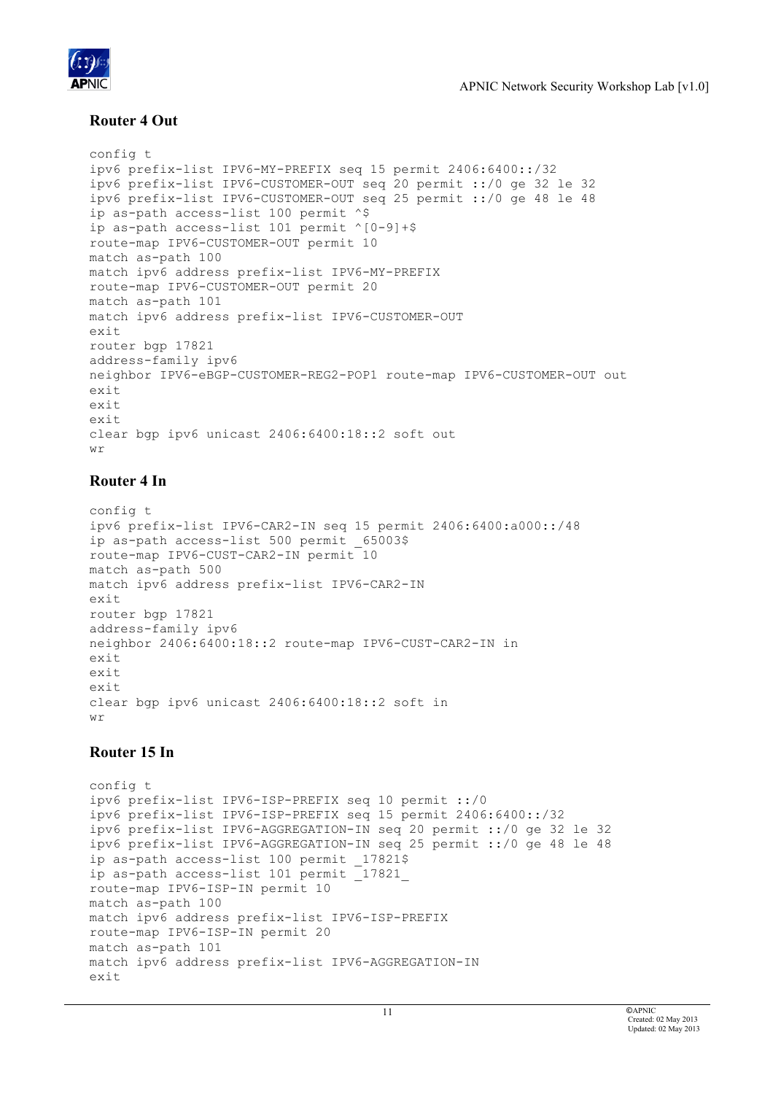

### **Router 4 Out**

```
config t
ipv6 prefix-list IPV6-MY-PREFIX seq 15 permit 2406:6400::/32
ipv6 prefix-list IPV6-CUSTOMER-OUT seq 20 permit ::/0 ge 32 le 32
ipv6 prefix-list IPV6-CUSTOMER-OUT seq 25 permit ::/0 ge 48 le 48
ip as-path access-list 100 permit ^$
ip as-path access-list 101 permit ^[0-9]+$
route-map IPV6-CUSTOMER-OUT permit 10
match as-path 100
match ipv6 address prefix-list IPV6-MY-PREFIX
route-map IPV6-CUSTOMER-OUT permit 20
match as-path 101
match ipv6 address prefix-list IPV6-CUSTOMER-OUT
exit
router bgp 17821
address-family ipv6
neighbor IPV6-eBGP-CUSTOMER-REG2-POP1 route-map IPV6-CUSTOMER-OUT out
exit
exit
exit
clear bgp ipv6 unicast 2406:6400:18::2 soft out
wr
```
### **Router 4 In**

```
config t
ipv6 prefix-list IPV6-CAR2-IN seq 15 permit 2406:6400:a000::/48
ip as-path access-list 500 permit _65003$
route-map IPV6-CUST-CAR2-IN permit 10
match as-path 500
match ipv6 address prefix-list IPV6-CAR2-IN
exit
router bgp 17821
address-family ipv6
neighbor 2406:6400:18::2 route-map IPV6-CUST-CAR2-IN in
exit
exit
exit
clear bgp ipv6 unicast 2406:6400:18::2 soft in
W \sim
```
### **Router 15 In**

```
config t
ipv6 prefix-list IPV6-ISP-PREFIX seq 10 permit ::/0
ipv6 prefix-list IPV6-ISP-PREFIX seq 15 permit 2406:6400::/32
ipv6 prefix-list IPV6-AGGREGATION-IN seq 20 permit ::/0 ge 32 le 32
ipv6 prefix-list IPV6-AGGREGATION-IN seq 25 permit ::/0 ge 48 le 48
ip as-path access-list 100 permit 17821$
ip as-path access-list 101 permit _17821_
route-map IPV6-ISP-IN permit 10
match as-path 100
match ipv6 address prefix-list IPV6-ISP-PREFIX
route-map IPV6-ISP-IN permit 20
match as-path 101
match ipv6 address prefix-list IPV6-AGGREGATION-IN
exit
```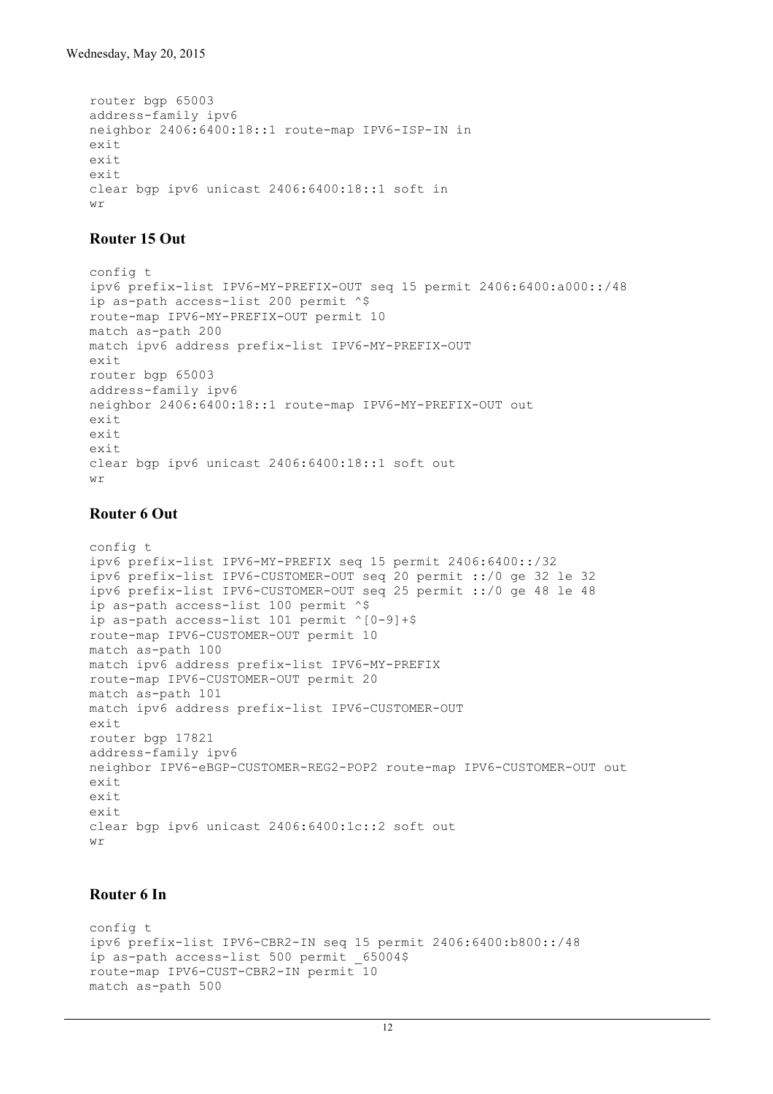```
router bgp 65003
address-family ipv6
neighbor 2406:6400:18::1 route-map IPV6-ISP-IN in
exit
exit
exit
clear bgp ipv6 unicast 2406:6400:18::1 soft in
wr
```
### **Router 15 Out**

```
config t
ipv6 prefix-list IPV6-MY-PREFIX-OUT seq 15 permit 2406:6400:a000::/48
ip as-path access-list 200 permit ^$
route-map IPV6-MY-PREFIX-OUT permit 10
match as-path 200
match ipv6 address prefix-list IPV6-MY-PREFIX-OUT
exit
router bgp 65003
address-family ipv6
neighbor 2406:6400:18::1 route-map IPV6-MY-PREFIX-OUT out
exit
exit
exit
clear bgp ipv6 unicast 2406:6400:18::1 soft out
wr
```
#### **Router 6 Out**

```
config t
ipv6 prefix-list IPV6-MY-PREFIX seq 15 permit 2406:6400::/32
ipv6 prefix-list IPV6-CUSTOMER-OUT seq 20 permit ::/0 ge 32 le 32
ipv6 prefix-list IPV6-CUSTOMER-OUT seq 25 permit ::/0 ge 48 le 48
ip as-path access-list 100 permit ^$
ip as-path access-list 101 permit ^[0-9]+$
route-map IPV6-CUSTOMER-OUT permit 10
match as-path 100
match ipv6 address prefix-list IPV6-MY-PREFIX
route-map IPV6-CUSTOMER-OUT permit 20
match as-path 101
match ipv6 address prefix-list IPV6-CUSTOMER-OUT
exit
router bgp 17821
address-family ipv6
neighbor IPV6-eBGP-CUSTOMER-REG2-POP2 route-map IPV6-CUSTOMER-OUT out
exit
exit
exit
clear bgp ipv6 unicast 2406:6400:1c::2 soft out
wr
```
#### **Router 6 In**

```
config t
ipv6 prefix-list IPV6-CBR2-IN seq 15 permit 2406:6400:b800::/48
ip as-path access-list 500 permit _65004$
route-map IPV6-CUST-CBR2-IN permit 10
match as-path 500
```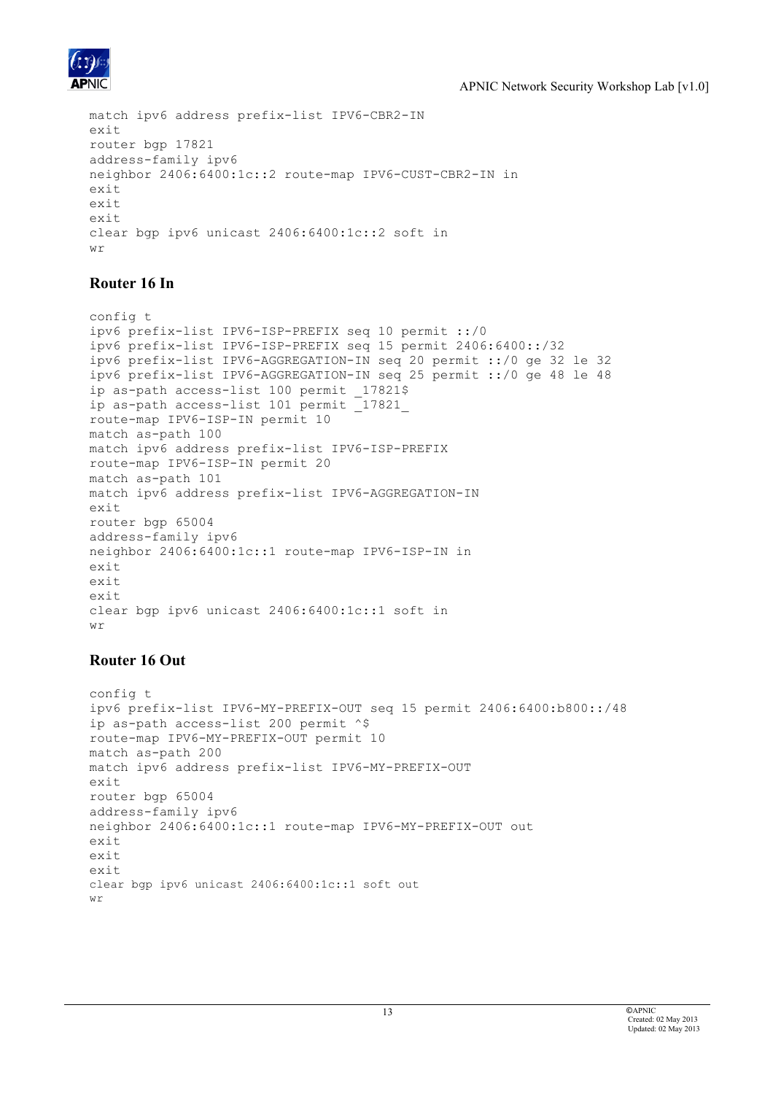

```
match ipv6 address prefix-list IPV6-CBR2-IN
exit
router bgp 17821
address-family ipv6
neighbor 2406:6400:1c::2 route-map IPV6-CUST-CBR2-IN in
exit
exit
exit
clear bgp ipv6 unicast 2406:6400:1c::2 soft in
M\gamma
```
### **Router 16 In**

```
config t
ipv6 prefix-list IPV6-ISP-PREFIX seq 10 permit ::/0
ipv6 prefix-list IPV6-ISP-PREFIX seq 15 permit 2406:6400::/32
ipv6 prefix-list IPV6-AGGREGATION-IN seq 20 permit ::/0 ge 32 le 32
ipv6 prefix-list IPV6-AGGREGATION-IN seq 25 permit ::/0 ge 48 le 48
ip as-path access-list 100 permit 17821$
ip as-path access-list 101 permit _17821_
route-map IPV6-ISP-IN permit 10
match as-path 100
match ipv6 address prefix-list IPV6-ISP-PREFIX
route-map IPV6-ISP-IN permit 20
match as-path 101
match ipv6 address prefix-list IPV6-AGGREGATION-IN
exit
router bgp 65004
address-family ipv6
neighbor 2406:6400:1c::1 route-map IPV6-ISP-IN in
ay_1+
exit
exit
clear bgp ipv6 unicast 2406:6400:1c::1 soft in
M\mathcal{V}
```
### **Router 16 Out**

```
config t
ipv6 prefix-list IPV6-MY-PREFIX-OUT seq 15 permit 2406:6400:b800::/48
ip as-path access-list 200 permit ^$
route-map IPV6-MY-PREFIX-OUT permit 10
match as-path 200
match ipv6 address prefix-list IPV6-MY-PREFIX-OUT
exit
router bgp 65004
address-family ipv6
neighbor 2406:6400:1c::1 route-map IPV6-MY-PREFIX-OUT out
exit
exit
exit
clear bgp ipv6 unicast 2406:6400:1c::1 soft out
wr
```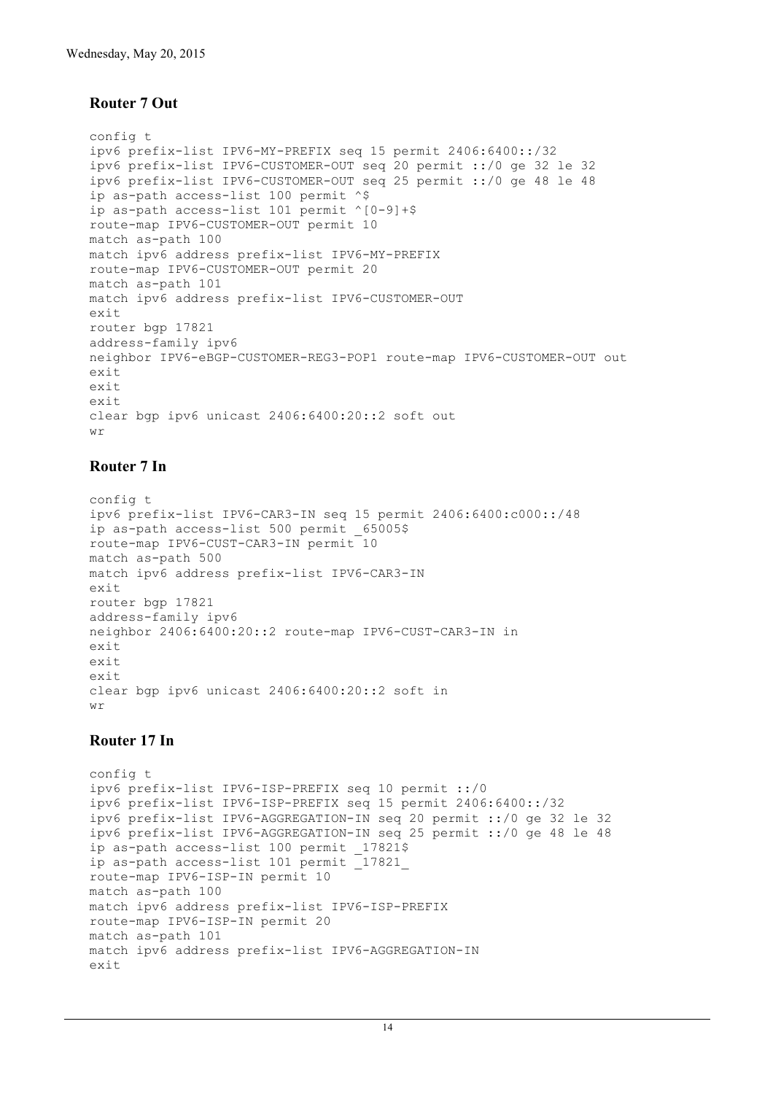#### **Router 7 Out**

```
config t
ipv6 prefix-list IPV6-MY-PREFIX seq 15 permit 2406:6400::/32
ipv6 prefix-list IPV6-CUSTOMER-OUT seq 20 permit ::/0 ge 32 le 32
ipv6 prefix-list IPV6-CUSTOMER-OUT seq 25 permit ::/0 ge 48 le 48
ip as-path access-list 100 permit ^$
ip as-path access-list 101 permit ^[0-9]+$
route-map IPV6-CUSTOMER-OUT permit 10
match as-path 100
match ipv6 address prefix-list IPV6-MY-PREFIX
route-map IPV6-CUSTOMER-OUT permit 20
match as-path 101
match ipv6 address prefix-list IPV6-CUSTOMER-OUT
exit
router bgp 17821
address-family ipv6
neighbor IPV6-eBGP-CUSTOMER-REG3-POP1 route-map IPV6-CUSTOMER-OUT out
exit
exit
exit
clear bgp ipv6 unicast 2406:6400:20::2 soft out
wr
```
#### **Router 7 In**

```
config t
ipv6 prefix-list IPV6-CAR3-IN seq 15 permit 2406:6400:c000::/48
ip as-path access-list 500 permit 65005$
route-map IPV6-CUST-CAR3-IN permit 10
match as-path 500
match ipv6 address prefix-list IPV6-CAR3-IN
exit
router bgp 17821
address-family ipv6
neighbor 2406:6400:20::2 route-map IPV6-CUST-CAR3-IN in
exit
exit
exit
clear bgp ipv6 unicast 2406:6400:20::2 soft in
wr
```
#### **Router 17 In**

```
config t
ipv6 prefix-list IPV6-ISP-PREFIX seq 10 permit ::/0
ipv6 prefix-list IPV6-ISP-PREFIX seq 15 permit 2406:6400::/32
ipv6 prefix-list IPV6-AGGREGATION-IN seq 20 permit ::/0 ge 32 le 32
ipv6 prefix-list IPV6-AGGREGATION-IN seq 25 permit ::/0 ge 48 le 48
ip as-path access-list 100 permit 17821$
ip as-path access-list 101 permit _17821_
route-map IPV6-ISP-IN permit 10
match as-path 100
match ipv6 address prefix-list IPV6-ISP-PREFIX
route-map IPV6-ISP-IN permit 20
match as-path 101
match ipv6 address prefix-list IPV6-AGGREGATION-IN
exit
```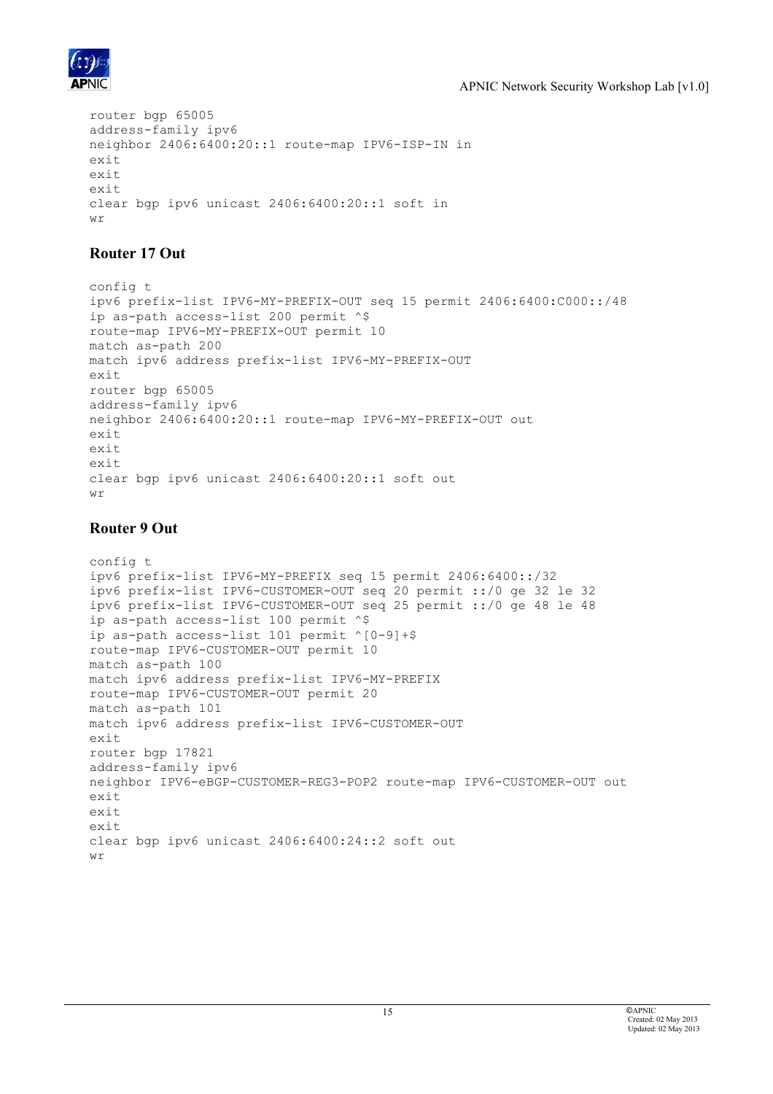

```
router bgp 65005
address-family ipv6
neighbor 2406:6400:20::1 route-map IPV6-ISP-IN in
exit
exit
exit
clear bgp ipv6 unicast 2406:6400:20::1 soft in
M \gamma
```
### **Router 17 Out**

```
config t
ipv6 prefix-list IPV6-MY-PREFIX-OUT seq 15 permit 2406:6400:C000::/48
ip as-path access-list 200 permit ^$
route-map IPV6-MY-PREFIX-OUT permit 10
match as-path 200
match ipv6 address prefix-list IPV6-MY-PREFIX-OUT
exit
router bgp 65005
address-family ipv6
neighbor 2406:6400:20::1 route-map IPV6-MY-PREFIX-OUT out
exit
exit
exit
clear bgp ipv6 unicast 2406:6400:20::1 soft out
wr
```
### **Router 9 Out**

```
config t
ipv6 prefix-list IPV6-MY-PREFIX seq 15 permit 2406:6400::/32
ipv6 prefix-list IPV6-CUSTOMER-OUT seq 20 permit ::/0 ge 32 le 32
ipv6 prefix-list IPV6-CUSTOMER-OUT seq 25 permit ::/0 ge 48 le 48
ip as-path access-list 100 permit ^$
ip as-path access-list 101 permit ^[0-9]+$
route-map IPV6-CUSTOMER-OUT permit 10
match as-path 100
match ipv6 address prefix-list IPV6-MY-PREFIX
route-map IPV6-CUSTOMER-OUT permit 20
match as-path 101
match ipv6 address prefix-list IPV6-CUSTOMER-OUT
exit
router bgp 17821
address-family ipv6
neighbor IPV6-eBGP-CUSTOMER-REG3-POP2 route-map IPV6-CUSTOMER-OUT out
exit
exit
exit
clear bgp ipv6 unicast 2406:6400:24::2 soft out
wr
```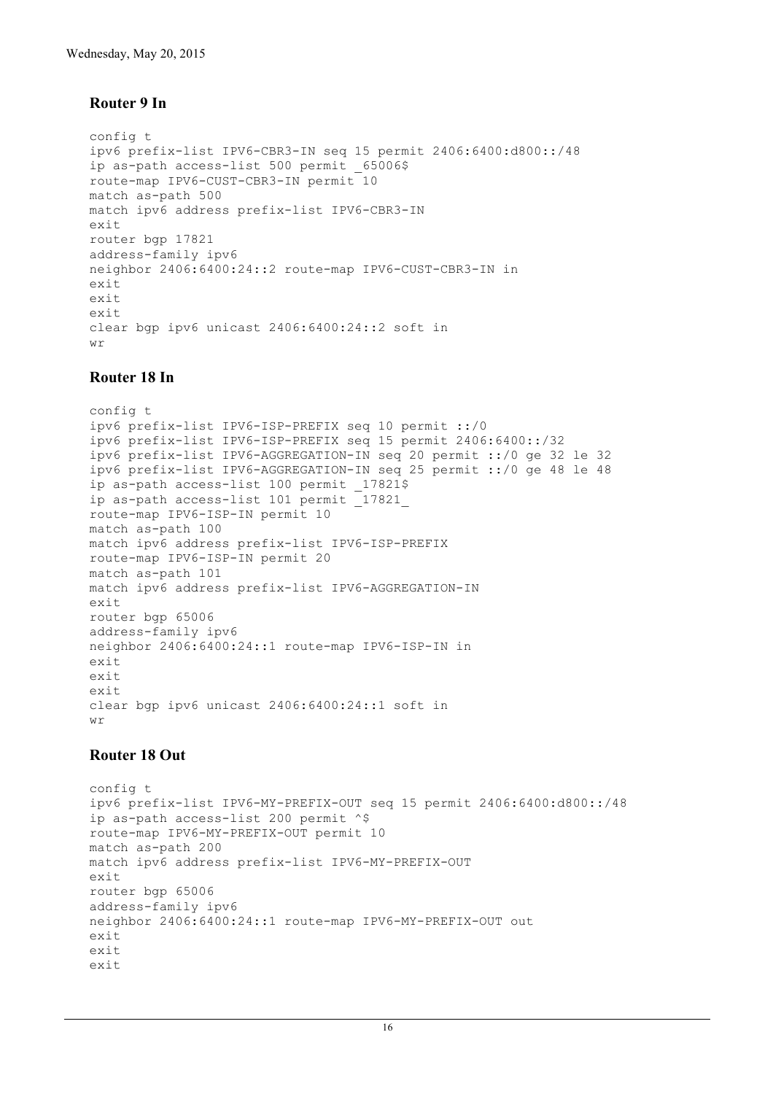### **Router 9 In**

```
config t
ipv6 prefix-list IPV6-CBR3-IN seq 15 permit 2406:6400:d800::/48
ip as-path access-list 500 permit 65006$
route-map IPV6-CUST-CBR3-IN permit 10
match as-path 500
match ipv6 address prefix-list IPV6-CBR3-IN
exit
router bgp 17821
address-family ipv6
neighbor 2406:6400:24::2 route-map IPV6-CUST-CBR3-IN in
exit
exit
exit
clear bgp ipv6 unicast 2406:6400:24::2 soft in
wr
```
### **Router 18 In**

config t ipv6 prefix-list IPV6-ISP-PREFIX seq 10 permit ::/0 ipv6 prefix-list IPV6-ISP-PREFIX seq 15 permit 2406:6400::/32 ipv6 prefix-list IPV6-AGGREGATION-IN seq 20 permit ::/0 ge 32 le 32 ipv6 prefix-list IPV6-AGGREGATION-IN seq 25 permit ::/0 ge 48 le 48 ip as-path access-list 100 permit 17821\$ ip as-path access-list 101 permit \_17821\_ route-map IPV6-ISP-IN permit 10 match as-path 100 match ipv6 address prefix-list IPV6-ISP-PREFIX route-map IPV6-ISP-IN permit 20 match as-path 101 match ipv6 address prefix-list IPV6-AGGREGATION-IN exit router bgp 65006 address-family ipv6 neighbor 2406:6400:24::1 route-map IPV6-ISP-IN in  $e$ xit exit exit clear bgp ipv6 unicast 2406:6400:24::1 soft in  $W \sim$ 

### **Router 18 Out**

```
config t
ipv6 prefix-list IPV6-MY-PREFIX-OUT seq 15 permit 2406:6400:d800::/48
ip as-path access-list 200 permit ^$
route-map IPV6-MY-PREFIX-OUT permit 10
match as-path 200
match ipv6 address prefix-list IPV6-MY-PREFIX-OUT
exit
router bgp 65006
address-family ipv6
neighbor 2406:6400:24::1 route-map IPV6-MY-PREFIX-OUT out
exit
exit
exit
```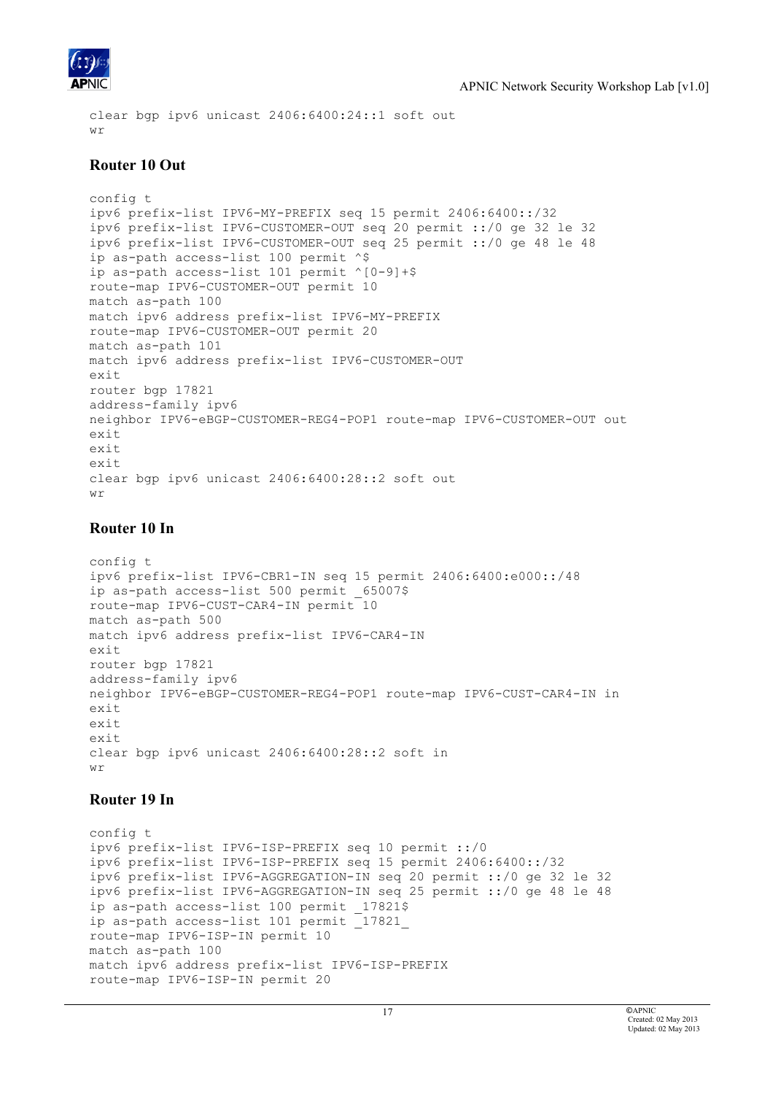

```
clear bgp ipv6 unicast 2406:6400:24::1 soft out
M\gamma
```
#### **Router 10 Out**

```
config t
ipv6 prefix-list IPV6-MY-PREFIX seq 15 permit 2406:6400::/32
ipv6 prefix-list IPV6-CUSTOMER-OUT seq 20 permit ::/0 ge 32 le 32
ipv6 prefix-list IPV6-CUSTOMER-OUT seq 25 permit ::/0 ge 48 le 48
ip as-path access-list 100 permit ^$
ip as-path access-list 101 permit ^[0-9]+$
route-map IPV6-CUSTOMER-OUT permit 10
match as-path 100
match ipv6 address prefix-list IPV6-MY-PREFIX
route-map IPV6-CUSTOMER-OUT permit 20
match as-path 101
match ipv6 address prefix-list IPV6-CUSTOMER-OUT
exit
router bgp 17821
address-family ipv6
neighbor IPV6-eBGP-CUSTOMER-REG4-POP1 route-map IPV6-CUSTOMER-OUT out
exit
exit
exit
clear bgp ipv6 unicast 2406:6400:28::2 soft out
wr
```
### **Router 10 In**

```
config t
ipv6 prefix-list IPV6-CBR1-IN seq 15 permit 2406:6400:e000::/48
ip as-path access-list 500 permit 65007$
route-map IPV6-CUST-CAR4-IN permit 10
match as-path 500
match ipv6 address prefix-list IPV6-CAR4-IN
exit
router bgp 17821
address-family ipv6
neighbor IPV6-eBGP-CUSTOMER-REG4-POP1 route-map IPV6-CUST-CAR4-IN in
exit
exit
exit
clear bgp ipv6 unicast 2406:6400:28::2 soft in
wr
```
### **Router 19 In**

```
config t
ipv6 prefix-list IPV6-ISP-PREFIX seq 10 permit ::/0
ipv6 prefix-list IPV6-ISP-PREFIX seq 15 permit 2406:6400::/32
ipv6 prefix-list IPV6-AGGREGATION-IN seq 20 permit ::/0 ge 32 le 32
ipv6 prefix-list IPV6-AGGREGATION-IN seq 25 permit ::/0 ge 48 le 48
ip as-path access-list 100 permit 17821$
ip as-path access-list 101 permit _17821_
route-map IPV6-ISP-IN permit 10
match as-path 100
match ipv6 address prefix-list IPV6-ISP-PREFIX
route-map IPV6-ISP-IN permit 20
```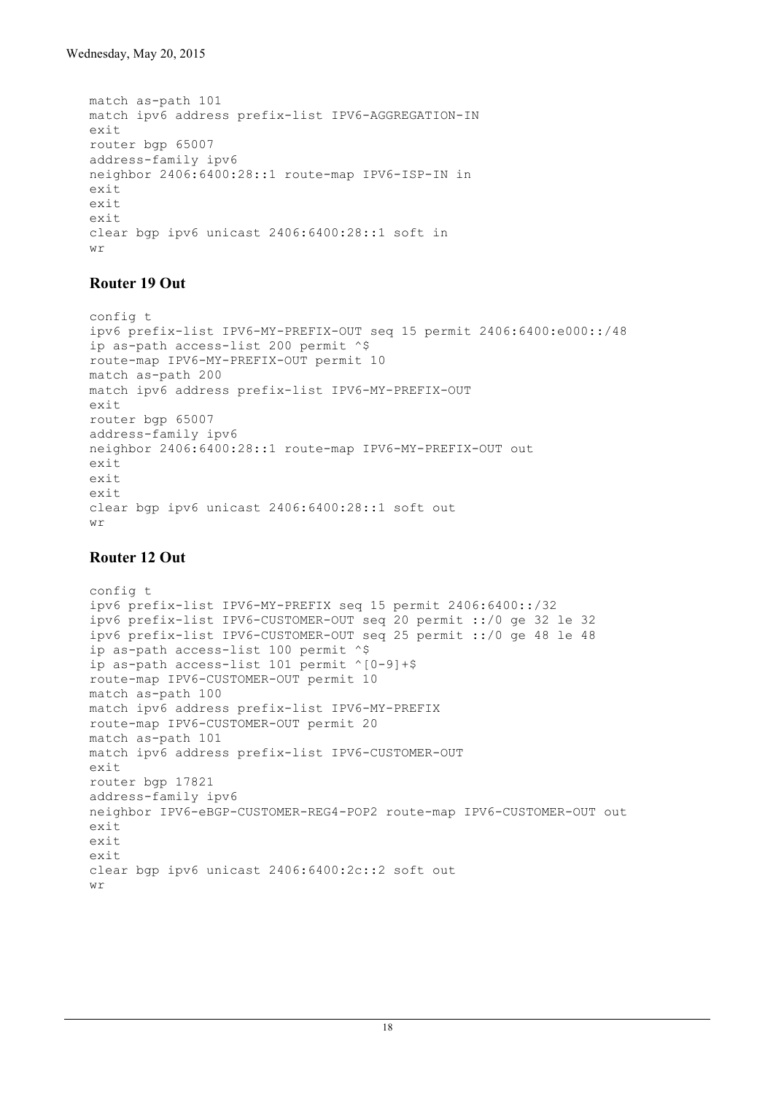```
match as-path 101
match ipv6 address prefix-list IPV6-AGGREGATION-IN
exit
router bgp 65007
address-family ipv6
neighbor 2406:6400:28::1 route-map IPV6-ISP-IN in
exit
exit
exit
clear bgp ipv6 unicast 2406:6400:28::1 soft in
M\gamma
```
### **Router 19 Out**

```
config t
ipv6 prefix-list IPV6-MY-PREFIX-OUT seq 15 permit 2406:6400:e000::/48
ip as-path access-list 200 permit ^$
route-map IPV6-MY-PREFIX-OUT permit 10
match as-path 200
match ipv6 address prefix-list IPV6-MY-PREFIX-OUT
exit
router bgp 65007
address-family ipv6
neighbor 2406:6400:28::1 route-map IPV6-MY-PREFIX-OUT out
exit
exit
exit
clear bgp ipv6 unicast 2406:6400:28::1 soft out
wr
```
### **Router 12 Out**

```
config t
ipv6 prefix-list IPV6-MY-PREFIX seq 15 permit 2406:6400::/32
ipv6 prefix-list IPV6-CUSTOMER-OUT seq 20 permit ::/0 ge 32 le 32
ipv6 prefix-list IPV6-CUSTOMER-OUT seq 25 permit ::/0 ge 48 le 48
ip as-path access-list 100 permit ^$
ip as-path access-list 101 permit ^[0-9]+$
route-map IPV6-CUSTOMER-OUT permit 10
match as-path 100
match ipv6 address prefix-list IPV6-MY-PREFIX
route-map IPV6-CUSTOMER-OUT permit 20
match as-path 101
match ipv6 address prefix-list IPV6-CUSTOMER-OUT
exit
router bgp 17821
address-family ipv6
neighbor IPV6-eBGP-CUSTOMER-REG4-POP2 route-map IPV6-CUSTOMER-OUT out
exit
ay_1+
exit
clear bgp ipv6 unicast 2406:6400:2c::2 soft out
wr
```